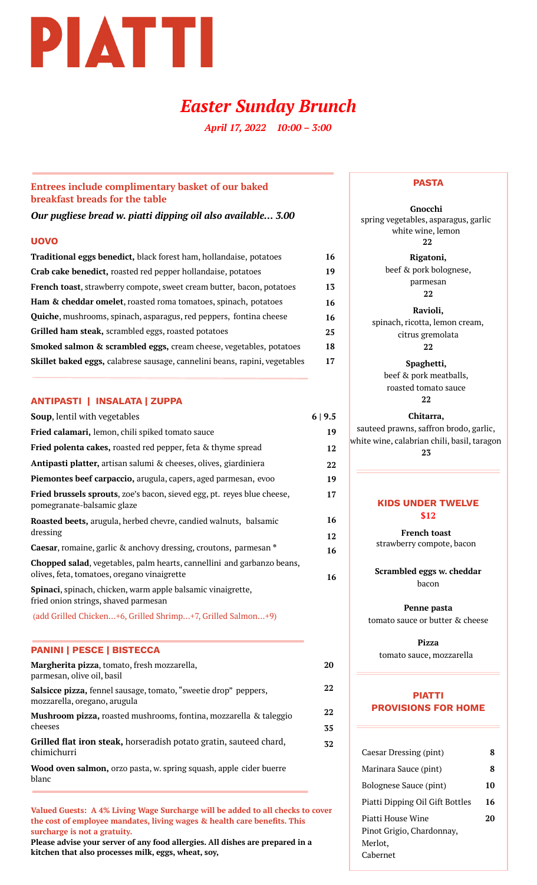

# *Easter Sunday Brunch*

*April 17, 2022 10:00 – 3:00*

## **Entrees include complimentary basket of our baked breakfast breads for the table**

*Our pugliese bread w. piatti dipping oil also available… 3.00*

## **UOVO**

| Traditional eggs benedict, black forest ham, hollandaise, potatoes           | 16 |
|------------------------------------------------------------------------------|----|
| Crab cake benedict, roasted red pepper hollandaise, potatoes                 | 19 |
| <b>French toast,</b> strawberry compote, sweet cream butter, bacon, potatoes | 13 |
| Ham & cheddar omelet, roasted roma tomatoes, spinach, potatoes               | 16 |
| <b>Quiche</b> , mushrooms, spinach, asparagus, red peppers, fontina cheese   | 16 |
| Grilled ham steak, scrambled eggs, roasted potatoes                          | 25 |
| Smoked salmon & scrambled eggs, cream cheese, vegetables, potatoes           | 18 |
| Skillet baked eggs, calabrese sausage, cannelini beans, rapini, vegetables   | 17 |

### **ANTIPASTI | INSALATA | ZUPPA**

| Soup, lentil with vegetables                                                                                          | 6 9.5    |
|-----------------------------------------------------------------------------------------------------------------------|----------|
| Fried calamari, lemon, chili spiked tomato sauce                                                                      | 19       |
| Fried polenta cakes, roasted red pepper, feta & thyme spread                                                          | 12       |
| Antipasti platter, artisan salumi & cheeses, olives, giardiniera                                                      | 22       |
| Piemontes beef carpaccio, arugula, capers, aged parmesan, evoo                                                        | 19       |
| Fried brussels sprouts, zoe's bacon, sieved egg, pt. reyes blue cheese,<br>pomegranate-balsamic glaze                 | 17       |
| Roasted beets, arugula, herbed chevre, candied walnuts, balsamic<br>dressing                                          | 16<br>12 |
| <b>Caesar, romaine, garlic &amp; anchovy dressing, croutons, parmesan *</b>                                           | 16       |
| Chopped salad, vegetables, palm hearts, cannellini and garbanzo beans,<br>olives, feta, tomatoes, oregano vinaigrette | 16       |
| Spinaci, spinach, chicken, warm apple balsamic vinaigrette,<br>fried onion strings, shaved parmesan                   |          |
| (add Grilled Chicken+6, Grilled Shrimp+7, Grilled Salmon+9)                                                           |          |

## **PANINI | PESCE | BISTECCA**

| Margherita pizza, tomato, fresh mozzarella,<br>parmesan, olive oil, basil                              | 20       |
|--------------------------------------------------------------------------------------------------------|----------|
| <b>Salsicce pizza, fennel sausage, tomato, "sweetie drop" peppers,</b><br>mozzarella, oregano, arugula | 22       |
| Mushroom pizza, roasted mushrooms, fontina, mozzarella & taleggio<br>cheeses                           | 22<br>35 |
| Grilled flat iron steak, horseradish potato gratin, sauteed chard,<br>chimichurri                      | 32       |
| Wood oven salmon, orzo pasta, w. spring squash, apple cider buerre                                     |          |

blanc

**Valued Guests: A 4% Living Wage Surcharge will be added to all checks to cover the cost of employee mandates, living wages & health care benefits. This surcharge is not a gratuity.**

**Please advise your server of any food allergies. All dishes are prepared in a kitchen that also processes milk, eggs, wheat, soy,**

#### **PASTA**

**Gnocchi** spring vegetables, asparagus, garlic white wine, lemon **22**

> **Rigatoni,** beef & pork bolognese, parmesan **22**

**Ravioli,** spinach, ricotta, lemon cream, citrus gremolata **22**

> **Spaghetti,** beef & pork meatballs, roasted tomato sauce **22**

## **Chitarra,** sauteed prawns, saffron brodo, garlic, white wine, calabrian chili, basil, taragon **23**

## **KIDS UNDER TWELVE \$12**

**French toast** strawberry compote, bacon

> **Scrambled eggs w. cheddar** bacon

**Penne pasta** tomato sauce or butter & cheese

**Pizza** tomato sauce, mozzarella

## **PIATTI PROVISIONS FOR HOME**

| Caesar Dressing (pint)                                                | 8  |
|-----------------------------------------------------------------------|----|
| Marinara Sauce (pint)                                                 | 8  |
| Bolognese Sauce (pint)                                                | 10 |
| Piatti Dipping Oil Gift Bottles                                       | 16 |
| Piatti House Wine<br>Pinot Grigio, Chardonnay,<br>Merlot,<br>Cabernet | 20 |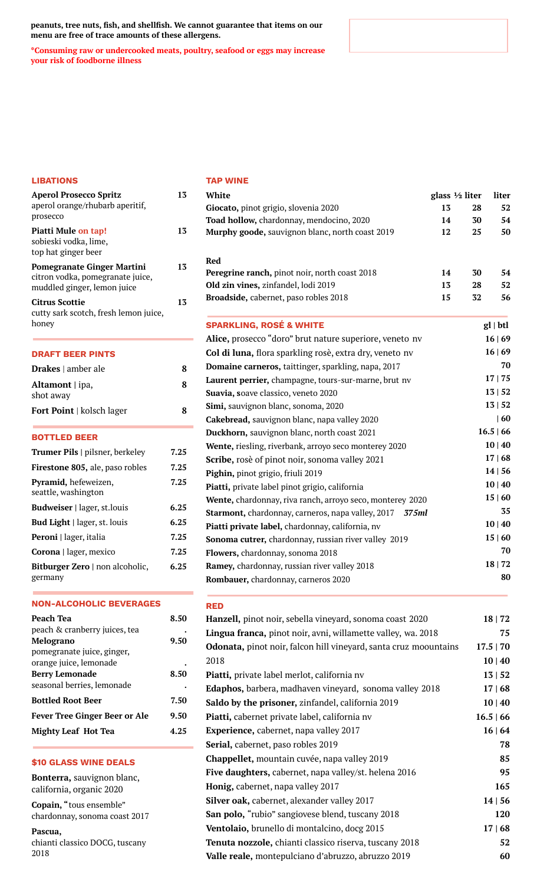**peanuts, tree nuts, fish, and shellfish. We cannot guarantee that items on our menu are free of trace amounts of these allergens.**

**\*Consuming raw or undercooked meats, poultry, seafood or eggs may increase your risk of foodborne illness**

#### **LIBATIONS**

| <b>Aperol Prosecco Spritz</b><br>aperol orange/rhubarb aperitif,<br>prosecco                         | 13   |
|------------------------------------------------------------------------------------------------------|------|
| <b>Piatti Mule on tap!</b><br>sobieski vodka, lime,<br>top hat ginger beer                           | 13   |
| <b>Pomegranate Ginger Martini</b><br>citron vodka, pomegranate juice,<br>muddled ginger, lemon juice | 13   |
| <b>Citrus Scottie</b><br>cutty sark scotch, fresh lemon juice,<br>honey                              | 13   |
| <b>DRAFT BEER PINTS</b>                                                                              |      |
| <b>Drakes</b> $\vert$ amber ale                                                                      | 8    |
| Altamont   ipa,<br>shot away                                                                         | ጸ    |
| <b>Fort Point</b>   kolsch lager                                                                     | 8    |
| <b>BOTTLED BEER</b>                                                                                  |      |
| <b>Trumer Pils</b>   pilsner, berkeley                                                               | 7.25 |
| Firestone 805, ale, paso robles                                                                      | 7.25 |
| Pyramid, hefeweizen,<br>seattle, washington                                                          | 7.25 |
| <b>Budweiser</b>   lager, st.louis                                                                   | 6.25 |
| <b>Bud Light</b>   lager, st. louis                                                                  | 6.25 |
|                                                                                                      |      |

**Peroni |** lager, italia **Corona |** lager, mexico **Bitburger Zero |** non alcoholic, germany **7.25 7.25 6.25**

#### **NON-ALCOHOLIC BEVERAGES**

| Peach Tea                            | 8.50 |
|--------------------------------------|------|
| peach & cranberry juices, tea        |      |
| <b>Melograno</b>                     | 9.50 |
| pomegranate juice, ginger,           |      |
| orange juice, lemonade               |      |
| <b>Berry Lemonade</b>                | 8.50 |
| seasonal berries, lemonade           |      |
| <b>Bottled Root Beer</b>             | 7.50 |
| <b>Fever Tree Ginger Beer or Ale</b> | 9.50 |
| <b>Mighty Leaf Hot Tea</b>           | 4.25 |

### **\$10 GLASS WINE DEALS**

**Bonterra,** sauvignon blanc, california, organic 2020

**Copain, "**tous ensemble" chardonnay, sonoma coast 2017

**Pascua,** chianti classico DOCG, tuscany 2018

#### **TAP WINE**

| 13<br>52<br>Giocato, pinot grigio, slovenia 2020<br>28<br>54<br>Toad hollow, chardonnay, mendocino, 2020<br>14<br>30<br>Murphy goode, sauvignon blanc, north coast 2019<br>12<br>25<br>50<br><b>Red</b><br>Peregrine ranch, pinot noir, north coast 2018<br>14<br>54<br>30<br>52<br>Old zin vines, zinfandel, lodi 2019<br>13<br>28<br>56<br>15<br>Broadside, cabernet, paso robles 2018<br>32<br><b>SPARKLING, ROSÉ &amp; WHITE</b><br>$gl \mid btl$<br>Alice, prosecco "doro" brut nature superiore, veneto nv<br>16 69<br>16   69<br>Col di luna, flora sparkling rosè, extra dry, veneto nv<br>70<br>Domaine carneros, taittinger, sparkling, napa, 2017<br>17   75<br>Laurent perrier, champagne, tours-sur-marne, brut nv<br>13   52<br>Suavia, soave classico, veneto 2020<br>13   52<br>Simi, sauvignon blanc, sonoma, 2020<br>$ 60\rangle$<br>Cakebread, sauvignon blanc, napa valley 2020<br>16.5   66<br>Duckhorn, sauvignon blanc, north coast 2021<br>10   40<br>Wente, riesling, riverbank, arroyo seco monterey 2020<br>17   68<br>Scribe, rosè of pinot noir, sonoma valley 2021<br>14   56<br>Pighin, pinot grigio, friuli 2019<br>10   40<br>Piatti, private label pinot grigio, california<br>15   60<br>Wente, chardonnay, riva ranch, arroyo seco, monterey 2020<br>35<br><b>Starmont, chardonnay, carneros, napa valley, 2017</b><br>375ml<br>10   40<br>Piatti private label, chardonnay, california, nv<br>15   60<br>Sonoma cutrer, chardonnay, russian river valley 2019<br>70<br>Flowers, chardonnay, sonoma 2018<br>18   72<br>Ramey, chardonnay, russian river valley 2018<br>80<br>Rombauer, chardonnay, carneros 2020 | White | glass 1/2 liter | liter |
|------------------------------------------------------------------------------------------------------------------------------------------------------------------------------------------------------------------------------------------------------------------------------------------------------------------------------------------------------------------------------------------------------------------------------------------------------------------------------------------------------------------------------------------------------------------------------------------------------------------------------------------------------------------------------------------------------------------------------------------------------------------------------------------------------------------------------------------------------------------------------------------------------------------------------------------------------------------------------------------------------------------------------------------------------------------------------------------------------------------------------------------------------------------------------------------------------------------------------------------------------------------------------------------------------------------------------------------------------------------------------------------------------------------------------------------------------------------------------------------------------------------------------------------------------------------------------------------------------------------------------------------------------|-------|-----------------|-------|
|                                                                                                                                                                                                                                                                                                                                                                                                                                                                                                                                                                                                                                                                                                                                                                                                                                                                                                                                                                                                                                                                                                                                                                                                                                                                                                                                                                                                                                                                                                                                                                                                                                                      |       |                 |       |
|                                                                                                                                                                                                                                                                                                                                                                                                                                                                                                                                                                                                                                                                                                                                                                                                                                                                                                                                                                                                                                                                                                                                                                                                                                                                                                                                                                                                                                                                                                                                                                                                                                                      |       |                 |       |
|                                                                                                                                                                                                                                                                                                                                                                                                                                                                                                                                                                                                                                                                                                                                                                                                                                                                                                                                                                                                                                                                                                                                                                                                                                                                                                                                                                                                                                                                                                                                                                                                                                                      |       |                 |       |
|                                                                                                                                                                                                                                                                                                                                                                                                                                                                                                                                                                                                                                                                                                                                                                                                                                                                                                                                                                                                                                                                                                                                                                                                                                                                                                                                                                                                                                                                                                                                                                                                                                                      |       |                 |       |
|                                                                                                                                                                                                                                                                                                                                                                                                                                                                                                                                                                                                                                                                                                                                                                                                                                                                                                                                                                                                                                                                                                                                                                                                                                                                                                                                                                                                                                                                                                                                                                                                                                                      |       |                 |       |
|                                                                                                                                                                                                                                                                                                                                                                                                                                                                                                                                                                                                                                                                                                                                                                                                                                                                                                                                                                                                                                                                                                                                                                                                                                                                                                                                                                                                                                                                                                                                                                                                                                                      |       |                 |       |
|                                                                                                                                                                                                                                                                                                                                                                                                                                                                                                                                                                                                                                                                                                                                                                                                                                                                                                                                                                                                                                                                                                                                                                                                                                                                                                                                                                                                                                                                                                                                                                                                                                                      |       |                 |       |
|                                                                                                                                                                                                                                                                                                                                                                                                                                                                                                                                                                                                                                                                                                                                                                                                                                                                                                                                                                                                                                                                                                                                                                                                                                                                                                                                                                                                                                                                                                                                                                                                                                                      |       |                 |       |
|                                                                                                                                                                                                                                                                                                                                                                                                                                                                                                                                                                                                                                                                                                                                                                                                                                                                                                                                                                                                                                                                                                                                                                                                                                                                                                                                                                                                                                                                                                                                                                                                                                                      |       |                 |       |
|                                                                                                                                                                                                                                                                                                                                                                                                                                                                                                                                                                                                                                                                                                                                                                                                                                                                                                                                                                                                                                                                                                                                                                                                                                                                                                                                                                                                                                                                                                                                                                                                                                                      |       |                 |       |
|                                                                                                                                                                                                                                                                                                                                                                                                                                                                                                                                                                                                                                                                                                                                                                                                                                                                                                                                                                                                                                                                                                                                                                                                                                                                                                                                                                                                                                                                                                                                                                                                                                                      |       |                 |       |
|                                                                                                                                                                                                                                                                                                                                                                                                                                                                                                                                                                                                                                                                                                                                                                                                                                                                                                                                                                                                                                                                                                                                                                                                                                                                                                                                                                                                                                                                                                                                                                                                                                                      |       |                 |       |
|                                                                                                                                                                                                                                                                                                                                                                                                                                                                                                                                                                                                                                                                                                                                                                                                                                                                                                                                                                                                                                                                                                                                                                                                                                                                                                                                                                                                                                                                                                                                                                                                                                                      |       |                 |       |
|                                                                                                                                                                                                                                                                                                                                                                                                                                                                                                                                                                                                                                                                                                                                                                                                                                                                                                                                                                                                                                                                                                                                                                                                                                                                                                                                                                                                                                                                                                                                                                                                                                                      |       |                 |       |
|                                                                                                                                                                                                                                                                                                                                                                                                                                                                                                                                                                                                                                                                                                                                                                                                                                                                                                                                                                                                                                                                                                                                                                                                                                                                                                                                                                                                                                                                                                                                                                                                                                                      |       |                 |       |
|                                                                                                                                                                                                                                                                                                                                                                                                                                                                                                                                                                                                                                                                                                                                                                                                                                                                                                                                                                                                                                                                                                                                                                                                                                                                                                                                                                                                                                                                                                                                                                                                                                                      |       |                 |       |
|                                                                                                                                                                                                                                                                                                                                                                                                                                                                                                                                                                                                                                                                                                                                                                                                                                                                                                                                                                                                                                                                                                                                                                                                                                                                                                                                                                                                                                                                                                                                                                                                                                                      |       |                 |       |
|                                                                                                                                                                                                                                                                                                                                                                                                                                                                                                                                                                                                                                                                                                                                                                                                                                                                                                                                                                                                                                                                                                                                                                                                                                                                                                                                                                                                                                                                                                                                                                                                                                                      |       |                 |       |
|                                                                                                                                                                                                                                                                                                                                                                                                                                                                                                                                                                                                                                                                                                                                                                                                                                                                                                                                                                                                                                                                                                                                                                                                                                                                                                                                                                                                                                                                                                                                                                                                                                                      |       |                 |       |
|                                                                                                                                                                                                                                                                                                                                                                                                                                                                                                                                                                                                                                                                                                                                                                                                                                                                                                                                                                                                                                                                                                                                                                                                                                                                                                                                                                                                                                                                                                                                                                                                                                                      |       |                 |       |
|                                                                                                                                                                                                                                                                                                                                                                                                                                                                                                                                                                                                                                                                                                                                                                                                                                                                                                                                                                                                                                                                                                                                                                                                                                                                                                                                                                                                                                                                                                                                                                                                                                                      |       |                 |       |
|                                                                                                                                                                                                                                                                                                                                                                                                                                                                                                                                                                                                                                                                                                                                                                                                                                                                                                                                                                                                                                                                                                                                                                                                                                                                                                                                                                                                                                                                                                                                                                                                                                                      |       |                 |       |
|                                                                                                                                                                                                                                                                                                                                                                                                                                                                                                                                                                                                                                                                                                                                                                                                                                                                                                                                                                                                                                                                                                                                                                                                                                                                                                                                                                                                                                                                                                                                                                                                                                                      |       |                 |       |
|                                                                                                                                                                                                                                                                                                                                                                                                                                                                                                                                                                                                                                                                                                                                                                                                                                                                                                                                                                                                                                                                                                                                                                                                                                                                                                                                                                                                                                                                                                                                                                                                                                                      |       |                 |       |
|                                                                                                                                                                                                                                                                                                                                                                                                                                                                                                                                                                                                                                                                                                                                                                                                                                                                                                                                                                                                                                                                                                                                                                                                                                                                                                                                                                                                                                                                                                                                                                                                                                                      |       |                 |       |
|                                                                                                                                                                                                                                                                                                                                                                                                                                                                                                                                                                                                                                                                                                                                                                                                                                                                                                                                                                                                                                                                                                                                                                                                                                                                                                                                                                                                                                                                                                                                                                                                                                                      |       |                 |       |
|                                                                                                                                                                                                                                                                                                                                                                                                                                                                                                                                                                                                                                                                                                                                                                                                                                                                                                                                                                                                                                                                                                                                                                                                                                                                                                                                                                                                                                                                                                                                                                                                                                                      |       |                 |       |

**RED**

| Hanzell, pinot noir, sebella vineyard, sonoma coast 2020                 | 18   72   |
|--------------------------------------------------------------------------|-----------|
| Lingua franca, pinot noir, avni, willamette valley, wa. 2018             | 75        |
| <b>Odonata</b> , pinot noir, falcon hill vineyard, santa cruz moountains | 17.5 70   |
| 2018                                                                     | 10   40   |
| Piatti, private label merlot, california nv                              | 13   52   |
| Edaphos, barbera, madhaven vineyard, sonoma valley 2018                  | 17   68   |
| Saldo by the prisoner, zinfandel, california 2019                        | 10   40   |
| Piatti, cabernet private label, california nv                            | 16.5   66 |
| <b>Experience, cabernet, napa valley 2017</b>                            | 16   64   |
| <b>Serial, cabernet, paso robles 2019</b>                                | 78        |
| Chappellet, mountain cuvée, napa valley 2019                             | 85        |
| <b>Five daughters, cabernet, napa valley/st. helena 2016</b>             | 95        |
| <b>Honig, cabernet, napa valley 2017</b>                                 | 165       |
| <b>Silver oak, cabernet, alexander valley 2017</b>                       | 14 56     |
| <b>San polo,</b> "rubio" sangiovese blend, tuscany 2018                  | 120       |
| Ventolaio, brunello di montalcino, docg 2015                             | 17   68   |
| <b>Tenuta nozzole, chianti classico riserva, tuscany 2018</b>            | 52        |
| Valle reale, montepulciano d'abruzzo, abruzzo 2019                       | 60        |